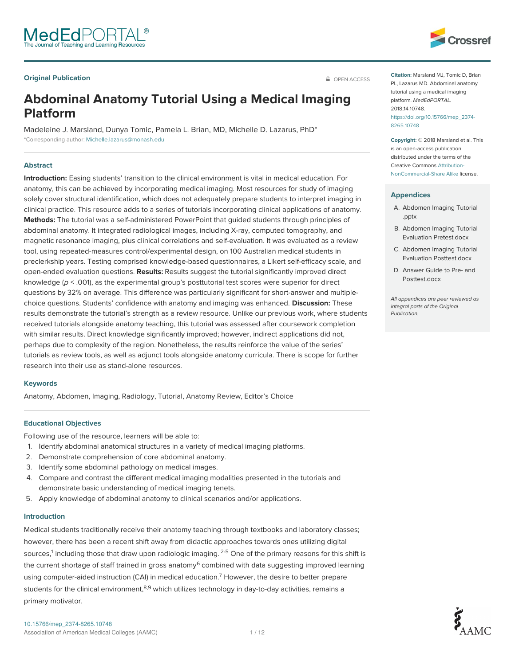### **Original Publication Contract Contract Contract Contract Contract Contract Contract Contract Contract Contract Contract Contract Contract Contract Contract Contract Contract Contract Contract Contract Contract Contract**



# **Abdominal Anatomy Tutorial Using a Medical Imaging Platform**

Madeleine J. Marsland, Dunya Tomic, Pamela L. Brian, MD, Michelle D. Lazarus, PhD\* \*Corresponding author: Michelle.lazarus@monash.edu

#### **Abstract**

**Introduction:** Easing students' transition to the clinical environment is vital in medical education. For anatomy, this can be achieved by incorporating medical imaging. Most resources for study of imaging solely cover structural identification, which does not adequately prepare students to interpret imaging in clinical practice. This resource adds to a series of tutorials incorporating clinical applications of anatomy. **Methods:** The tutorial was a self-administered PowerPoint that guided students through principles of abdominal anatomy. It integrated radiological images, including X-ray, computed tomography, and magnetic resonance imaging, plus clinical correlations and self-evaluation. It was evaluated as a review tool, using repeated-measures control/experimental design, on 100 Australian medical students in preclerkship years. Testing comprised knowledge-based questionnaires, a Likert self-efficacy scale, and open-ended evaluation questions. **Results:** Results suggest the tutorial significantly improved direct knowledge ( $p <$  .001), as the experimental group's posttutorial test scores were superior for direct questions by 32% on average. This difference was particularly significant for short-answer and multiplechoice questions. Students' confidence with anatomy and imaging was enhanced. **Discussion:** These results demonstrate the tutorial's strength as a review resource. Unlike our previous work, where students received tutorials alongside anatomy teaching, this tutorial was assessed after coursework completion with similar results. Direct knowledge significantly improved; however, indirect applications did not, perhaps due to complexity of the region. Nonetheless, the results reinforce the value of the series' tutorials as review tools, as well as adjunct tools alongside anatomy curricula. There is scope for further research into their use as stand-alone resources.

#### **Keywords**

Anatomy, Abdomen, Imaging, Radiology, Tutorial, Anatomy Review, Editor's Choice

#### **Educational Objectives**

Following use of the resource, learners will be able to:

- 1. Identify abdominal anatomical structures in a variety of medical imaging platforms.
- 2. Demonstrate comprehension of core abdominal anatomy.
- 3. Identify some abdominal pathology on medical images.
- 4. Compare and contrast the different medical imaging modalities presented in the tutorials and demonstrate basic understanding of medical imaging tenets.
- 5. Apply knowledge of abdominal anatomy to clinical scenarios and/or applications.

#### **Introduction**

Medical students traditionally receive their anatomy teaching through textbooks and laboratory classes; however, there has been a recent shift away from didactic approaches towards ones utilizing digital sources, $^1$  including those that draw upon radiologic imaging.  $^{2\text{-}5}$  One of the primary reasons for this shift is the current shortage of staff trained in gross anatomy $^6$  combined with data suggesting improved learning using computer-aided instruction (CAI) in medical education.<sup>7</sup> However, the desire to better prepare students for the clinical environment,<sup>8,9</sup> which utilizes technology in day-to-day activities, remains a primary motivator.



**Copyright:** © 2018 Marsland et al. This is an open-access publication distributed under the terms of the Creative Commons Attribution-NonCommercial-Share Alike license.

#### **Appendices**

- A. Abdomen Imaging Tutorial .pptx
- B. Abdomen Imaging Tutorial Evaluation Pretest.docx
- C. Abdomen Imaging Tutorial Evaluation Posttest.docx
- D. Answer Guide to Pre- and Posttest.docx

All appendices are peer reviewed as integral parts of the Original Publication.

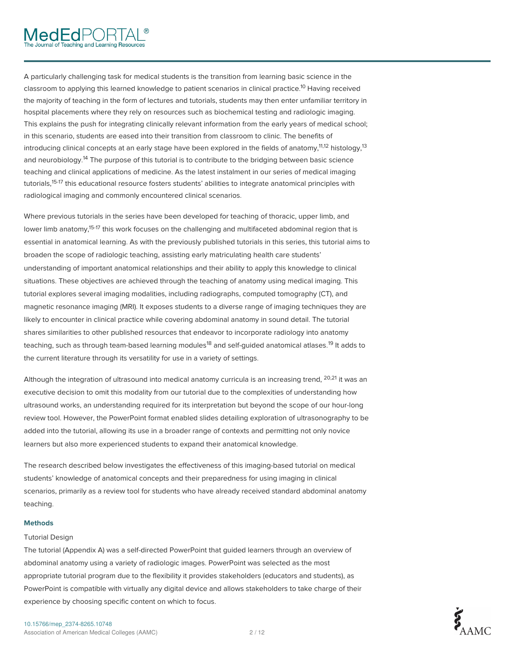A particularly challenging task for medical students is the transition from learning basic science in the classroom to applying this learned knowledge to patient scenarios in clinical practice.<sup>10</sup> Having received the majority of teaching in the form of lectures and tutorials, students may then enter unfamiliar territory in hospital placements where they rely on resources such as biochemical testing and radiologic imaging. This explains the push for integrating clinically relevant information from the early years of medical school; in this scenario, students are eased into their transition from classroom to clinic. The benefits of introducing clinical concepts at an early stage have been explored in the fields of anatomy,<sup>11,12</sup> histology,<sup>13</sup> and neurobiology.<sup>14</sup> The purpose of this tutorial is to contribute to the bridging between basic science teaching and clinical applications of medicine. As the latest instalment in our series of medical imaging tutorials,<sup>15-17</sup> this educational resource fosters students' abilities to integrate anatomical principles with radiological imaging and commonly encountered clinical scenarios.

Where previous tutorials in the series have been developed for teaching of thoracic, upper limb, and lower limb anatomy,<sup>15-17</sup> this work focuses on the challenging and multifaceted abdominal region that is essential in anatomical learning. As with the previously published tutorials in this series, this tutorial aims to broaden the scope of radiologic teaching, assisting early matriculating health care students' understanding of important anatomical relationships and their ability to apply this knowledge to clinical situations. These objectives are achieved through the teaching of anatomy using medical imaging. This tutorial explores several imaging modalities, including radiographs, computed tomography (CT), and magnetic resonance imaging (MRI). It exposes students to a diverse range of imaging techniques they are likely to encounter in clinical practice while covering abdominal anatomy in sound detail. The tutorial shares similarities to other published resources that endeavor to incorporate radiology into anatomy teaching, such as through team-based learning modules<sup>18</sup> and self-guided anatomical atlases.<sup>19</sup> It adds to the current literature through its versatility for use in a variety of settings.

Although the integration of ultrasound into medical anatomy curricula is an increasing trend,  $^{20,21}$  it was an  $\,$ executive decision to omit this modality from our tutorial due to the complexities of understanding how ultrasound works, an understanding required for its interpretation but beyond the scope of our hour-long review tool. However, the PowerPoint format enabled slides detailing exploration of ultrasonography to be added into the tutorial, allowing its use in a broader range of contexts and permitting not only novice learners but also more experienced students to expand their anatomical knowledge.

The research described below investigates the effectiveness of this imaging-based tutorial on medical students' knowledge of anatomical concepts and their preparedness for using imaging in clinical scenarios, primarily as a review tool for students who have already received standard abdominal anatomy teaching.

#### **Methods**

#### Tutorial Design

The tutorial (Appendix A) was a self-directed PowerPoint that guided learners through an overview of abdominal anatomy using a variety of radiologic images. PowerPoint was selected as the most appropriate tutorial program due to the flexibility it provides stakeholders (educators and students), as PowerPoint is compatible with virtually any digital device and allows stakeholders to take charge of their experience by choosing specific content on which to focus.



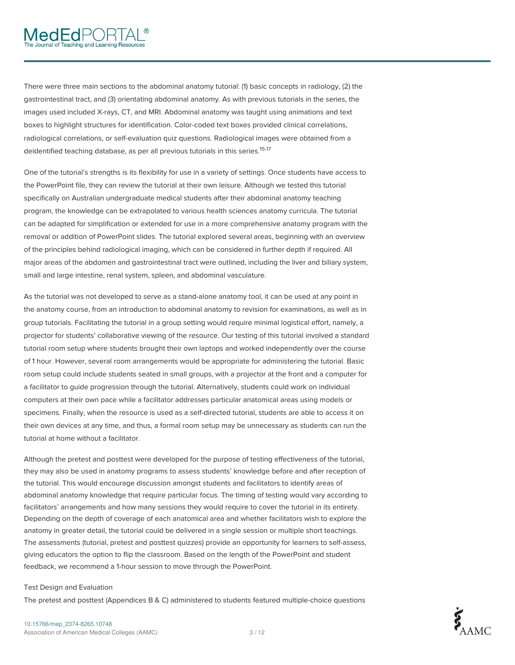# **MedEd**PORTA

There were three main sections to the abdominal anatomy tutorial: (1) basic concepts in radiology, (2) the gastrointestinal tract, and (3) orientating abdominal anatomy. As with previous tutorials in the series, the images used included X-rays, CT, and MRI. Abdominal anatomy was taught using animations and text boxes to highlight structures for identification. Color-coded text boxes provided clinical correlations, radiological correlations, or self-evaluation quiz questions. Radiological images were obtained from a deidentified teaching database, as per all previous tutorials in this series. 15-17

One of the tutorial's strengths is its flexibility for use in a variety of settings. Once students have access to the PowerPoint file, they can review the tutorial at their own leisure. Although we tested this tutorial specifically on Australian undergraduate medical students after their abdominal anatomy teaching program, the knowledge can be extrapolated to various health sciences anatomy curricula. The tutorial can be adapted for simplification or extended for use in a more comprehensive anatomy program with the removal or addition of PowerPoint slides. The tutorial explored several areas, beginning with an overview of the principles behind radiological imaging, which can be considered in further depth if required. All major areas of the abdomen and gastrointestinal tract were outlined, including the liver and biliary system, small and large intestine, renal system, spleen, and abdominal vasculature.

As the tutorial was not developed to serve as a stand-alone anatomy tool, it can be used at any point in the anatomy course, from an introduction to abdominal anatomy to revision for examinations, as well as in group tutorials. Facilitating the tutorial in a group setting would require minimal logistical effort, namely, a projector for students' collaborative viewing of the resource. Our testing of this tutorial involved a standard tutorial room setup where students brought their own laptops and worked independently over the course of 1 hour. However, several room arrangements would be appropriate for administering the tutorial. Basic room setup could include students seated in small groups, with a projector at the front and a computer for a facilitator to guide progression through the tutorial. Alternatively, students could work on individual computers at their own pace while a facilitator addresses particular anatomical areas using models or specimens. Finally, when the resource is used as a self-directed tutorial, students are able to access it on their own devices at any time, and thus, a formal room setup may be unnecessary as students can run the tutorial at home without a facilitator.

Although the pretest and posttest were developed for the purpose of testing effectiveness of the tutorial, they may also be used in anatomy programs to assess students' knowledge before and after reception of the tutorial. This would encourage discussion amongst students and facilitators to identify areas of abdominal anatomy knowledge that require particular focus. The timing of testing would vary according to facilitators' arrangements and how many sessions they would require to cover the tutorial in its entirety. Depending on the depth of coverage of each anatomical area and whether facilitators wish to explore the anatomy in greater detail, the tutorial could be delivered in a single session or multiple short teachings. The assessments (tutorial, pretest and posttest quizzes) provide an opportunity for learners to self-assess, giving educators the option to flip the classroom. Based on the length of the PowerPoint and student feedback, we recommend a 1-hour session to move through the PowerPoint.

#### Test Design and Evaluation

The pretest and posttest (Appendices B & C) administered to students featured multiple-choice questions

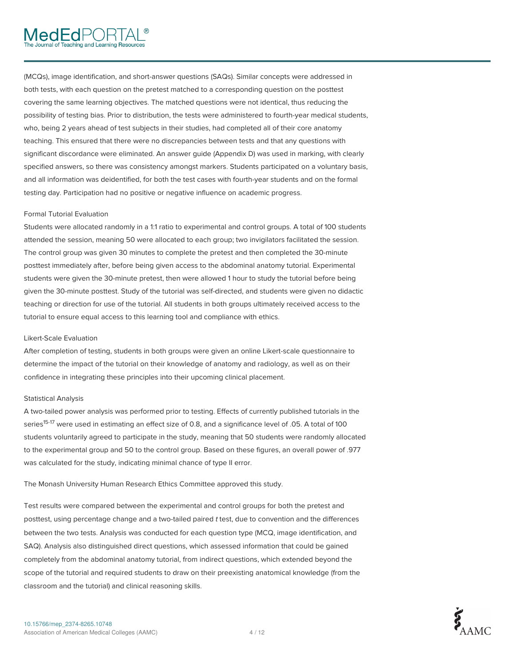(MCQs), image identification, and short-answer questions (SAQs). Similar concepts were addressed in both tests, with each question on the pretest matched to a corresponding question on the posttest covering the same learning objectives. The matched questions were not identical, thus reducing the possibility of testing bias. Prior to distribution, the tests were administered to fourth-year medical students, who, being 2 years ahead of test subjects in their studies, had completed all of their core anatomy teaching. This ensured that there were no discrepancies between tests and that any questions with significant discordance were eliminated. An answer guide (Appendix D) was used in marking, with clearly specified answers, so there was consistency amongst markers. Students participated on a voluntary basis, and all information was deidentified, for both the test cases with fourth-year students and on the formal testing day. Participation had no positive or negative influence on academic progress.

#### Formal Tutorial Evaluation

Students were allocated randomly in a 1:1 ratio to experimental and control groups. A total of 100 students attended the session, meaning 50 were allocated to each group; two invigilators facilitated the session. The control group was given 30 minutes to complete the pretest and then completed the 30-minute posttest immediately after, before being given access to the abdominal anatomy tutorial. Experimental students were given the 30-minute pretest, then were allowed 1 hour to study the tutorial before being given the 30-minute posttest. Study of the tutorial was self-directed, and students were given no didactic teaching or direction for use of the tutorial. All students in both groups ultimately received access to the tutorial to ensure equal access to this learning tool and compliance with ethics.

#### Likert-Scale Evaluation

After completion of testing, students in both groups were given an online Likert-scale questionnaire to determine the impact of the tutorial on their knowledge of anatomy and radiology, as well as on their confidence in integrating these principles into their upcoming clinical placement.

#### Statistical Analysis

A two-tailed power analysis was performed prior to testing. Effects of currently published tutorials in the series<sup>15-17</sup> were used in estimating an effect size of 0.8, and a significance level of .05. A total of 100 students voluntarily agreed to participate in the study, meaning that 50 students were randomly allocated to the experimental group and 50 to the control group. Based on these figures, an overall power of .977 was calculated for the study, indicating minimal chance of type II error.

The Monash University Human Research Ethics Committee approved this study.

Test results were compared between the experimental and control groups for both the pretest and posttest, using percentage change and a two-tailed paired t test, due to convention and the differences between the two tests. Analysis was conducted for each question type (MCQ, image identification, and SAQ). Analysis also distinguished direct questions, which assessed information that could be gained completely from the abdominal anatomy tutorial, from indirect questions, which extended beyond the scope of the tutorial and required students to draw on their preexisting anatomical knowledge (from the classroom and the tutorial) and clinical reasoning skills.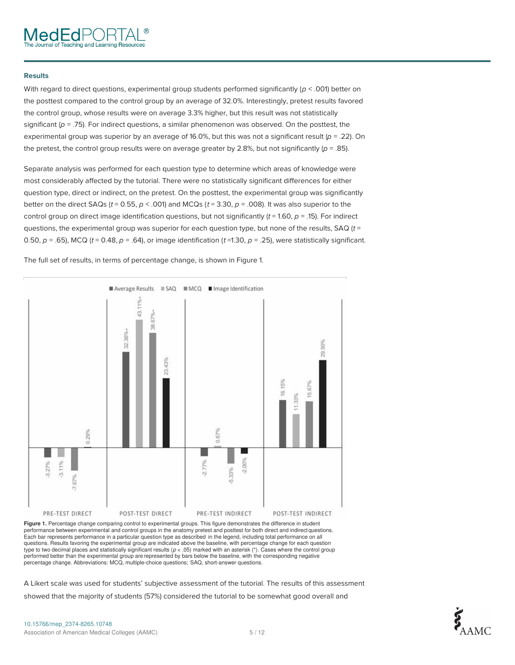#### **Results**

With regard to direct questions, experimental group students performed significantly ( $p < .001$ ) better on the posttest compared to the control group by an average of 32.0%. Interestingly, pretest results favored the control group, whose results were on average 3.3% higher, but this result was not statistically significant ( $p = .75$ ). For indirect questions, a similar phenomenon was observed. On the posttest, the experimental group was superior by an average of 16.0%, but this was not a significant result ( $p = .22$ ). On the pretest, the control group results were on average greater by 2.8%, but not significantly ( $p = .85$ ).

Separate analysis was performed for each question type to determine which areas of knowledge were most considerably affected by the tutorial. There were no statistically significant differences for either question type, direct or indirect, on the pretest. On the posttest, the experimental group was significantly better on the direct SAQs ( $t = 0.55$ ,  $p < .001$ ) and MCQs ( $t = 3.30$ ,  $p = .008$ ). It was also superior to the control group on direct image identification questions, but not significantly  $(t = 1.60, p = .15)$ . For indirect questions, the experimental group was superior for each question type, but none of the results, SAQ  $(t =$ 0.50,  $p = .65$ ), MCQ (t = 0.48,  $p = .64$ ), or image identification (t =1.30,  $p = .25$ ), were statistically significant.

The full set of results, in terms of percentage change, is shown in Figure 1.



**Figure 1.** Percentage change comparing control to experimental groups. This figure demonstrates the difference in student performance between experimental and control groups in the anatomy pretest and posttest for both direct and indirect questions. Each bar represents performance in a particular question type as described in the legend, including total performance on all questions. Results favoring the experimental group are indicated above the baseline, with percentage change for each question type to two decimal places and statistically significant results (*p* < .05) marked with an asterisk (\*). Cases where the control group performed better than the experimental group are represented by bars below the baseline, with the corresponding negative percentage change. Abbreviations: MCQ, multiple-choice questions; SAQ, short-answer questions.

A Likert scale was used for students' subjective assessment of the tutorial. The results of this assessment showed that the majority of students (57%) considered the tutorial to be somewhat good overall and

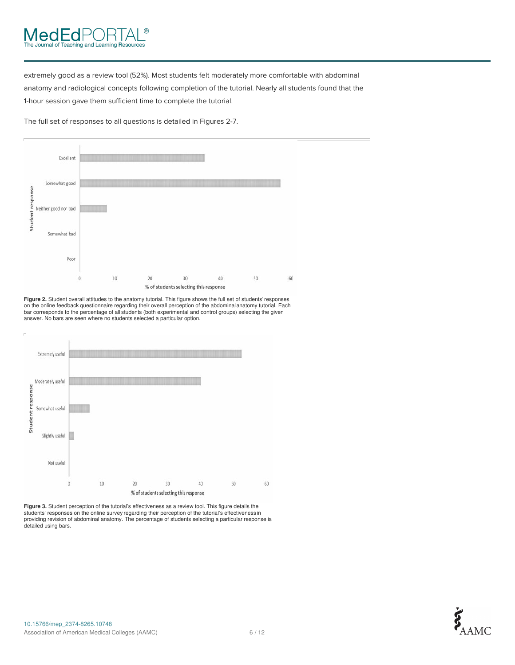## **MedEdl** eaching and Learning Resources

extremely good as a review tool (52%). Most students felt moderately more comfortable with abdominal anatomy and radiological concepts following completion of the tutorial. Nearly all students found that the 1-hour session gave them sufficient time to complete the tutorial.

The full set of responses to all questions is detailed in Figures 2-7.



**Figure 2.** Student overall attitudes to the anatomy tutorial. This figure shows the full set of students'responses on the online feedback questionnaire regarding their overall perception of the abdominalanatomy tutorial. Each bar corresponds to the percentage of all students (both experimental and control groups) selecting the given answer. No bars are seen where no students selected a particular option.



**Figure 3.** Student perception of the tutorial's effectiveness as a review tool. This figure details the students' responses on the online survey regarding their perception of the tutorial's effectivenessin<br>providing revision of abdominal anatomy. The percentage of students selecting a particular response is<br>detailed using ba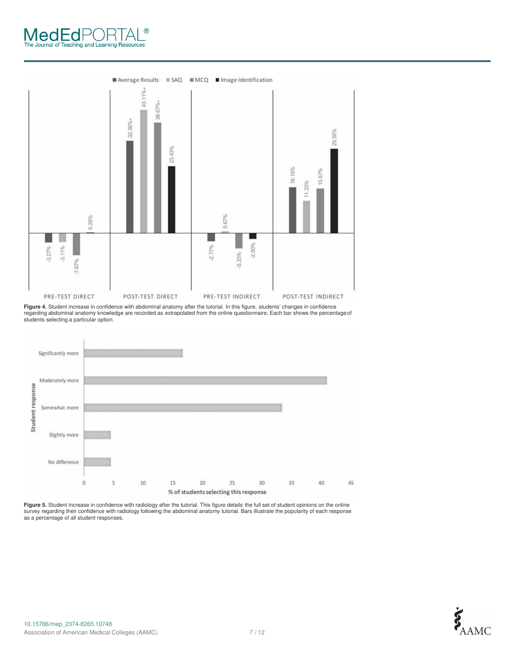# The Journal of Teaching and Learning Resources  $^{\circledR}$



**Figure 4.** Student increase in confidence with abdominal anatomy after the tutorial. In this figure, students' changes in confidence<br>regarding abdominal anatomy knowledge are recorded as extrapolated from the online quest students selecting a particular option.



**Figure 5.** Student increase in confidence with radiology after the tutorial. This figure details the full set of student opinions on the online survey regarding their confidence with radiology following the abdominal anatomy tutorial. Bars illustrate the popularity of each response as a percentage of all student responses.

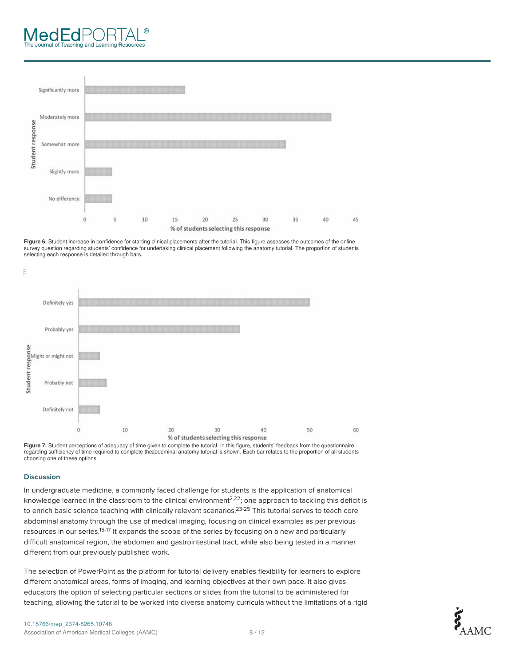### -uł ching and Learning Resources



**Figure 6.** Student increase in confidence for starting clinical placements after the tutorial. This figure assesses the outcomes of the online survey question regarding students' confidence for undertaking clinical placement following the anatomy tutorial. The proportion of students selecting each response is detailed through bars.



Figure 7. Student perceptions of adequacy of time given to complete the tutorial. In this figure, students' feedback from the questionnaire regarding sufficiency of time required to complete theabdominal anatomy tutorial is shown. Each bar relates to the proportion of all students choosing one of these options.

#### **Discussion**

In undergraduate medicine, a commonly faced challenge for students is the application of anatomical knowledge learned in the classroom to the clinical environment $^{2,22}$ ; one approach to tackling this deficit is to enrich basic science teaching with clinically relevant scenarios.<sup>23-25</sup> This tutorial serves to teach core abdominal anatomy through the use of medical imaging, focusing on clinical examples as per previous resources in our series.<sup>15-17</sup> It expands the scope of the series by focusing on a new and particularly difficult anatomical region, the abdomen and gastrointestinal tract, while also being tested in a manner different from our previously published work.

The selection of PowerPoint as the platform for tutorial delivery enables flexibility for learners to explore different anatomical areas, forms of imaging, and learning objectives at their own pace. It also gives educators the option of selecting particular sections or slides from the tutorial to be administered for teaching, allowing the tutorial to be worked into diverse anatomy curricula without the limitations of a rigid



60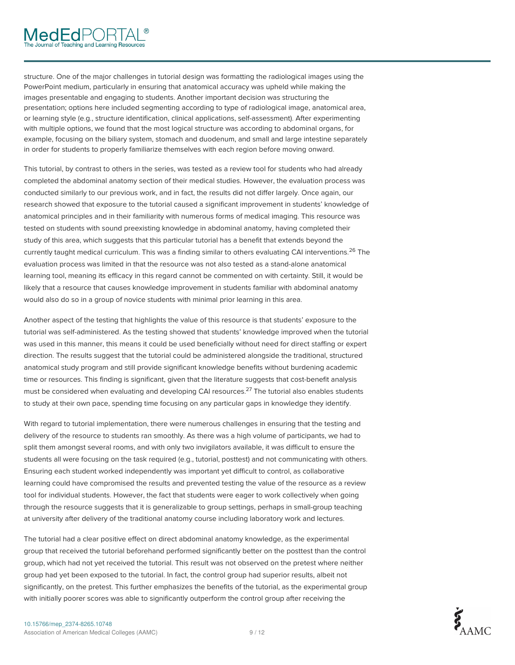# MedEdPOR1

structure. One of the major challenges in tutorial design was formatting the radiological images using the PowerPoint medium, particularly in ensuring that anatomical accuracy was upheld while making the images presentable and engaging to students. Another important decision was structuring the presentation; options here included segmenting according to type of radiological image, anatomical area, or learning style (e.g., structure identification, clinical applications, self-assessment). After experimenting with multiple options, we found that the most logical structure was according to abdominal organs, for example, focusing on the biliary system, stomach and duodenum, and small and large intestine separately in order for students to properly familiarize themselves with each region before moving onward.

This tutorial, by contrast to others in the series, was tested as a review tool for students who had already completed the abdominal anatomy section of their medical studies. However, the evaluation process was conducted similarly to our previous work, and in fact, the results did not differ largely. Once again, our research showed that exposure to the tutorial caused a significant improvement in students' knowledge of anatomical principles and in their familiarity with numerous forms of medical imaging. This resource was tested on students with sound preexisting knowledge in abdominal anatomy, having completed their study of this area, which suggests that this particular tutorial has a benefit that extends beyond the currently taught medical curriculum. This was a finding similar to others evaluating CAI interventions.<sup>26</sup> The evaluation process was limited in that the resource was not also tested as a stand-alone anatomical learning tool, meaning its efficacy in this regard cannot be commented on with certainty. Still, it would be likely that a resource that causes knowledge improvement in students familiar with abdominal anatomy would also do so in a group of novice students with minimal prior learning in this area.

Another aspect of the testing that highlights the value of this resource is that students' exposure to the tutorial was self-administered. As the testing showed that students' knowledge improved when the tutorial was used in this manner, this means it could be used beneficially without need for direct staffing or expert direction. The results suggest that the tutorial could be administered alongside the traditional, structured anatomical study program and still provide significant knowledge benefits without burdening academic time or resources. This finding is significant, given that the literature suggests that cost-benefit analysis must be considered when evaluating and developing CAI resources.<sup>27</sup> The tutorial also enables students to study at their own pace, spending time focusing on any particular gaps in knowledge they identify.

With regard to tutorial implementation, there were numerous challenges in ensuring that the testing and delivery of the resource to students ran smoothly. As there was a high volume of participants, we had to split them amongst several rooms, and with only two invigilators available, it was difficult to ensure the students all were focusing on the task required (e.g., tutorial, posttest) and not communicating with others. Ensuring each student worked independently was important yet difficult to control, as collaborative learning could have compromised the results and prevented testing the value of the resource as a review tool for individual students. However, the fact that students were eager to work collectively when going through the resource suggests that it is generalizable to group settings, perhaps in small-group teaching at university after delivery of the traditional anatomy course including laboratory work and lectures.

The tutorial had a clear positive effect on direct abdominal anatomy knowledge, as the experimental group that received the tutorial beforehand performed significantly better on the posttest than the control group, which had not yet received the tutorial. This result was not observed on the pretest where neither group had yet been exposed to the tutorial. In fact, the control group had superior results, albeit not significantly, on the pretest. This further emphasizes the benefits of the tutorial, as the experimental group with initially poorer scores was able to significantly outperform the control group after receiving the

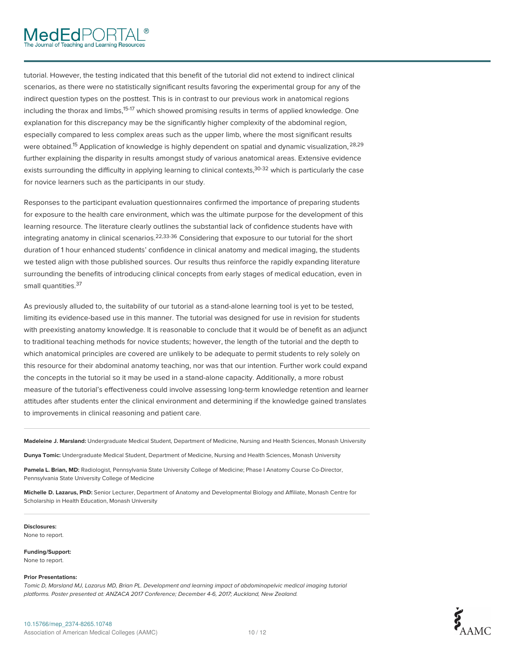tutorial. However, the testing indicated that this benefit of the tutorial did not extend to indirect clinical scenarios, as there were no statistically significant results favoring the experimental group for any of the indirect question types on the posttest. This is in contrast to our previous work in anatomical regions including the thorax and limbs,<sup>15-17</sup> which showed promising results in terms of applied knowledge. One explanation for this discrepancy may be the significantly higher complexity of the abdominal region, especially compared to less complex areas such as the upper limb, where the most significant results were obtained.<sup>15</sup> Application of knowledge is highly dependent on spatial and dynamic visualization,<sup>28,29</sup> further explaining the disparity in results amongst study of various anatomical areas. Extensive evidence exists surrounding the difficulty in applying learning to clinical contexts,<sup>30-32</sup> which is particularly the case for novice learners such as the participants in our study.

Responses to the participant evaluation questionnaires confirmed the importance of preparing students for exposure to the health care environment, which was the ultimate purpose for the development of this learning resource. The literature clearly outlines the substantial lack of confidence students have with integrating anatomy in clinical scenarios. $2^{2,33\cdot36}$  Considering that exposure to our tutorial for the short duration of 1 hour enhanced students' confidence in clinical anatomy and medical imaging, the students we tested align with those published sources. Our results thus reinforce the rapidly expanding literature surrounding the benefits of introducing clinical concepts from early stages of medical education, even in small quantities. 37

As previously alluded to, the suitability of our tutorial as a stand-alone learning tool is yet to be tested, limiting its evidence-based use in this manner. The tutorial was designed for use in revision for students with preexisting anatomy knowledge. It is reasonable to conclude that it would be of benefit as an adjunct to traditional teaching methods for novice students; however, the length of the tutorial and the depth to which anatomical principles are covered are unlikely to be adequate to permit students to rely solely on this resource for their abdominal anatomy teaching, nor was that our intention. Further work could expand the concepts in the tutorial so it may be used in a stand-alone capacity. Additionally, a more robust measure of the tutorial's effectiveness could involve assessing long-term knowledge retention and learner attitudes after students enter the clinical environment and determining if the knowledge gained translates to improvements in clinical reasoning and patient care.

**Madeleine J. Marsland:** Undergraduate Medical Student, Department of Medicine, Nursing and Health Sciences, Monash University

**Dunya Tomic:** Undergraduate Medical Student, Department of Medicine, Nursing and Health Sciences, Monash University

**Pamela L. Brian, MD:** Radiologist, Pennsylvania State University College of Medicine; Phase I Anatomy Course Co-Director, Pennsylvania State University College of Medicine

**Michelle D. Lazarus, PhD:** Senior Lecturer, Department of Anatomy and Developmental Biology and Affiliate, Monash Centre for Scholarship in Health Education, Monash University

**Disclosures:** None to report.

**Funding/Support:**

None to report.

#### **Prior Presentations:**

Tomic D, Marsland MJ, Lazarus MD, Brian PL. Development and learning impact of abdominopelvic medical imaging tutorial platforms. Poster presented at: ANZACA 2017 Conference; December 4-6, 2017; Auckland, New Zealand.

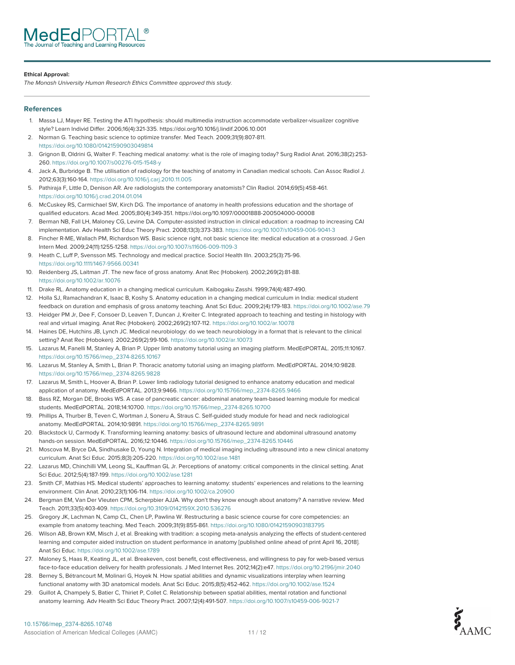#### **Ethical Approval:**

The Monash University Human Research Ethics Committee approved this study.

#### **References**

- 1. Massa LJ, Mayer RE. Testing the ATI hypothesis: should multimedia instruction accommodate verbalizer-visualizer cognitive style? Learn Individ Differ. 2006;16(4):321-335. https://doi.org/10.1016/j.lindif.2006.10.001
- 2. Norman G. Teaching basic science to optimize transfer. Med Teach. 2009;31(9):807-811. https://doi.org/10.1080/01421590903049814
- 3. Grignon B, Oldrini G, Walter F. Teaching medical anatomy: what is the role of imaging today? Surg Radiol Anat. 2016;38(2):253- 260. https://doi.org/10.1007/s00276-015-1548-y
- 4. Jack A, Burbridge B. The utilisation of radiology for the teaching of anatomy in Canadian medical schools. Can Assoc Radiol J. 2012;63(3):160-164. https://doi.org/10.1016/j.carj.2010.11.005
- 5. Pathiraja F, Little D, Denison AR. Are radiologists the contemporary anatomists? Clin Radiol. 2014;69(5):458-461. https://doi.org/10.1016/j.crad.2014.01.014
- 6. McCuskey RS, Carmichael SW, Kirch DG. The importance of anatomy in health professions education and the shortage of qualified educators. Acad Med. 2005;80(4):349-351. https://doi.org/10.1097/00001888-200504000-00008
- 7. Berman NB, Fall LH, Maloney CG, Levine DA. Computer-assisted instruction in clinical education: a roadmap to increasing CAI implementation. Adv Health Sci Educ Theory Pract. 2008;13(3):373-383. https://doi.org/10.1007/s10459-006-9041-3
- 8. Fincher R-ME, Wallach PM, Richardson WS. Basic science right, not basic science lite: medical education at a crossroad. J Gen Intern Med. 2009;24(11):1255-1258. https://doi.org/10.1007/s11606-009-1109-3
- 9. Heath C, Luff P, Svensson MS. Technology and medical practice. Sociol Health Illn. 2003;25(3):75-96. https://doi.org/10.1111/1467-9566.00341
- 10. Reidenberg JS, Laitman JT. The new face of gross anatomy. Anat Rec (Hoboken). 2002;269(2):81-88. https://doi.org/10.1002/ar.10076
- 11. Drake RL. Anatomy education in a changing medical curriculum. Kaibogaku Zasshi. 1999;74(4):487-490.
- 12. Holla SJ, Ramachandran K, Isaac B, Koshy S. Anatomy education in a changing medical curriculum in India: medical student feedback on duration and emphasis of gross anatomy teaching. Anat Sci Educ. 2009;2(4):179-183. https://doi.org/10.1002/ase.79
- 13. Heidger PM Jr, Dee F, Consoer D, Leaven T, Duncan J, Kreiter C. Integrated approach to teaching and testing in histology with real and virtual imaging. Anat Rec (Hoboken). 2002;269(2):107-112. https://doi.org/10.1002/ar.10078
- 14. Haines DE, Hutchins JB, Lynch JC. Medical neurobiology: do we teach neurobiology in a format that is relevant to the clinical setting? Anat Rec (Hoboken). 2002;269(2):99-106. https://doi.org/10.1002/ar.10073
- 15. Lazarus M, Fanelli M, Stanley A, Brian P. Upper limb anatomy tutorial using an imaging platform. MedEdPORTAL. 2015;11:10167. https://doi.org/10.15766/mep\_2374-8265.10167
- 16. Lazarus M, Stanley A, Smith L, Brian P. Thoracic anatomy tutorial using an imaging platform. MedEdPORTAL. 2014;10:9828. https://doi.org/10.15766/mep\_2374-8265.9828
- 17. Lazarus M, Smith L, Hoover A, Brian P. Lower limb radiology tutorial designed to enhance anatomy education and medical application of anatomy. MedEdPORTAL. 2013;9:9466. https://doi.org/10.15766/mep\_2374-8265.9466
- 18. Bass RZ, Morgan DE, Brooks WS. A case of pancreatic cancer: abdominal anatomy team-based learning module for medical students. MedEdPORTAL. 2018;14:10700. https://doi.org/10.15766/mep\_2374-8265.10700
- 19. Phillips A, Thurber B, Teven C, Wortman J, Soneru A, Straus C. Self-guided study module for head and neck radiological anatomy. MedEdPORTAL. 2014;10:9891. https://doi.org/10.15766/mep\_2374-8265.9891
- 20. Blackstock U, Carmody K. Transforming learning anatomy: basics of ultrasound lecture and abdominal ultrasound anatomy hands-on session. MedEdPORTAL. 2016;12:10446. https://doi.org/10.15766/mep\_2374-8265.10446
- 21. Moscova M, Bryce DA, Sindhusake D, Young N. Integration of medical imaging including ultrasound into a new clinical anatomy curriculum. Anat Sci Educ. 2015;8(3):205-220. https://doi.org/10.1002/ase.1481
- 22. Lazarus MD, Chinchilli VM, Leong SL, Kauffman GL Jr. Perceptions of anatomy: critical components in the clinical setting. Anat Sci Educ. 2012;5(4):187-199. https://doi.org/10.1002/ase.1281
- 23. Smith CF, Mathias HS. Medical students' approaches to learning anatomy: students' experiences and relations to the learning environment. Clin Anat. 2010;23(1):106-114. https://doi.org/10.1002/ca.20900
- 24. Bergman EM, Van Der Vleuten CPM, Scherpbier AJJA. Why don't they know enough about anatomy? A narrative review. Med Teach. 2011;33(5):403-409. https://doi.org/10.3109/0142159X.2010.536276
- 25. Gregory JK, Lachman N, Camp CL, Chen LP, Pawlina W. Restructuring a basic science course for core competencies: an example from anatomy teaching. Med Teach. 2009;31(9):855-861. https://doi.org/10.1080/01421590903183795
- 26. Wilson AB, Brown KM, Misch J, et al. Breaking with tradition: a scoping meta-analysis analyzing the effects of student-centered learning and computer aided instruction on student performance in anatomy [published online ahead of print April 16, 2018]. Anat Sci Educ. https://doi.org/10.1002/ase.1789
- 27. Maloney S, Haas R, Keating JL, et al. Breakeven, cost benefit, cost effectiveness, and willingness to pay for web-based versus face-to-face education delivery for health professionals. J Med Internet Res. 2012;14(2):e47. https://doi.org/10.2196/jmir.2040
- 28. Berney S, Bétrancourt M, Molinari G, Hoyek N. How spatial abilities and dynamic visualizations interplay when learning functional anatomy with 3D anatomical models. Anat Sci Educ. 2015;8(5):452-462. https://doi.org/10.1002/ase.1524
- 29. Guillot A, Champely S, Batier C, Thiriet P, Collet C. Relationship between spatial abilities, mental rotation and functional anatomy learning. Adv Health Sci Educ Theory Pract. 2007;12(4):491-507. https://doi.org/10.1007/s10459-006-9021-7